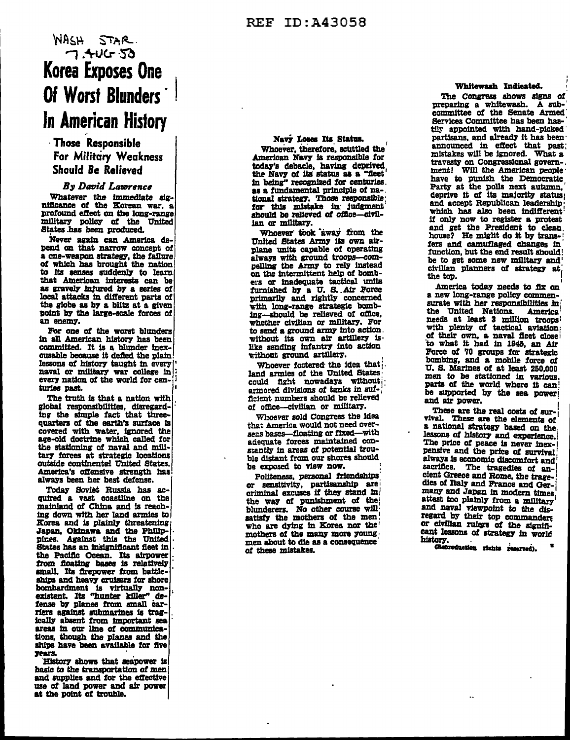# WASH STAR  $7.406.53$ Korea Exposes One Of Worst Blunders In American History

· Those Responsible For Military Weakness **Should Be Relieved** 

## By David Lawrence

Whatever the immediate significance of the Korean war. a profound effect on the long-range military policy of the United States has been produced.

Never again can America debend on that narrow concept of a cne-weapon strategy, the failure of which has brought the nation to its senses suddenly to learn as gravely injured by a series of local attacks in different parts of the globe as by a blitz at a given point by the large-scale forces of an enemy.

For one of the worst blunders in all American history has been committed. It is a blunder inexcusable because it defled the plain lessons of history taught in every!' naval or military war college in : every nation of the world for centuries past.

The truth is that a nation with global responsibilities, disregarding the simple fact that threequarters of the earth's surface is covered with water, ignored the the stationing of naval and military forces at strategic locations outside continental United States. America's offensive strength has always been her best defense.

Today Soviet Russia has acquired a vast coastline on the mainland of China and is reaching down with her land armies to Korea and is plainly threatening: Japan, Okinawa and the Philip-<br>pines. Against this the United<br>States has an insignificant fleet in the Pacific Ocean. Its airpower from floating bases is relatively small. Its firepower from battleships and heavy cruisers for shore bombardment is virtually non-<br>existent. Its "hunter killer" defense by planes from small carriers against submarines is tragically absent from important sea areas in our line of communications, though the planes and the ships have been available for five **Years.** 

History shows that seapower is basic to the transportation of men and supplies and for the effective use of land power and air power at the point of trouble.

#### Navy Loses Its Status.

Whoever, therefore, scuttled the American Navy is responsible for today's debacle, having deprived<br>the Navy of its status as a "fleet'<br>in being" recognized for centuries. as a fundamental principle of na-. sional strategy. Those responsible<br>for this mistake in judgment<br>should be relieved of office—civilian or military.

Whoever took away from the United States Army its own airplane units capable of operating always with ground troops-compelling the Army to rely instead on the intermittent help of bombers or inadequate tactical units<br>furnished by a U. S. Air Force<br>primarily and rightly concerned with long-range strategic bombing-should be relieved of office, whether civilian or military. For to send a ground army into action. without its own air artillery is like sending infantry into action without ground artillery.

Whoever fostered the idea that. land armies of the United States could fight nowadays without armored divisions of tanks in sufficient numbers should be relieved of office-civilian or military.

Whoever sold Congress the idea that America would not need oversens bases—floating or fixed—with adequate forces maintained constantly in areas of potential trouble distant from our shores should be exposed to view now.

Politeness, personal friendships or sensitivity, partisanship are criminal excuses if they stand in the way of punishment of the blunderers. No other course will who are dying in Korea nor the mothers of the many more young. men about to die as a consequence of these mistakes.

## Whitewash Indicated.

The Congress shows signs of preparing a whitewash. A sub-<br>committee of the Senate Armed Services Committee has been hastily appointed with hand-picked partisans, and already it has been announced in effect that past; mistakes will be ignored. What a travesty on Congressional government! Will the American people have to punish the Democratic Party at the polls next autumn, deprive it of its majority status, and accept Republican leadershipwhich has also been indifferent if only now to register a protest and get the President to clean. house? He might do it by transfers and camuflaged changes in function, but the end result should: be to get some new military and' civilian planners of strategy at the top.

America today needs to fix on a new long-range policy commensurate with her responsibilities in the United Nations. America needs at least 3 million troops with plenty of tactical aviation of their own, a naval fleet close to what it had in 1945, an Air Force of 70 groups for strategic bombing, and a mobile force of U. S. Marines of at least 250,000 men to be stationed in various. parts of the world where it can be supported by the sea power! and air power.

These are the real costs of survival. These are the elements of a national strategy based on the lessons of history and experience. The price of peace is never inexpensive and the price of survival, always is economic discomfort and sacrifice. The tragedies of ancient Greece and Rome, the tragedies of Italy and France and Germany and Japan in modern times. attest too plainly from a military and naval viewpoint to the disregard by their top commanders or civilian rulers of the significant lessons of strategy in world history.<br>Georoduction rights reserved).